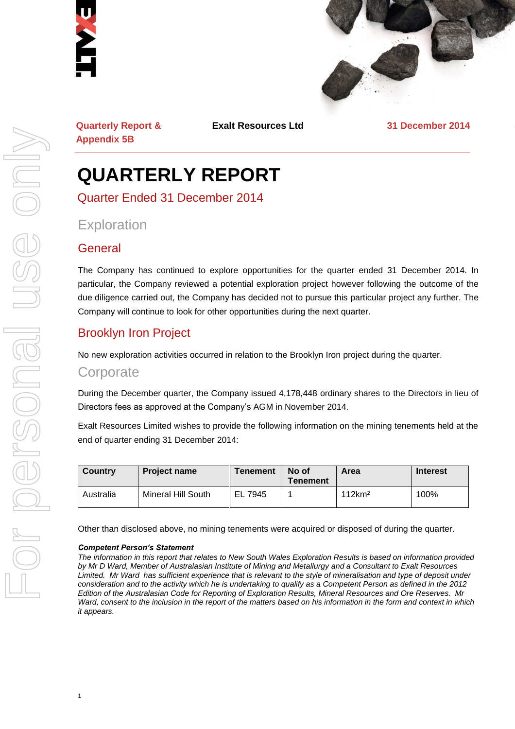



**Quarterly Report & Appendix 5B**

**Exalt Resources Ltd 31 December 2014**

# **QUARTERLY REPORT**

Quarter Ended 31 December 2014

# **Exploration**

#### **General**

The Company has continued to explore opportunities for the quarter ended 31 December 2014. In particular, the Company reviewed a potential exploration project however following the outcome of the due diligence carried out, the Company has decided not to pursue this particular project any further. The Company will continue to look for other opportunities during the next quarter.

# Brooklyn Iron Project

No new exploration activities occurred in relation to the Brooklyn Iron project during the quarter.

#### **Corporate**

During the December quarter, the Company issued 4,178,448 ordinary shares to the Directors in lieu of Directors fees as approved at the Company's AGM in November 2014.

Exalt Resources Limited wishes to provide the following information on the mining tenements held at the end of quarter ending 31 December 2014:

| <b>Country</b> | <b>Project name</b> | <b>Tenement</b> | No of<br><b>Tenement</b> | Area               | <b>Interest</b> |
|----------------|---------------------|-----------------|--------------------------|--------------------|-----------------|
| Australia      | Mineral Hill South  | EL 7945         |                          | 112km <sup>2</sup> | 100%            |

Other than disclosed above, no mining tenements were acquired or disposed of during the quarter.

#### *Competent Person's Statement*

*The information in this report that relates to New South Wales Exploration Results is based on information provided by Mr D Ward, Member of Australasian Institute of Mining and Metallurgy and a Consultant to Exalt Resources Limited. Mr Ward has sufficient experience that is relevant to the style of mineralisation and type of deposit under consideration and to the activity which he is undertaking to qualify as a Competent Person as defined in the 2012 Edition of the Australasian Code for Reporting of Exploration Results, Mineral Resources and Ore Reserves. Mr Ward, consent to the inclusion in the report of the matters based on his information in the form and context in which it appears.*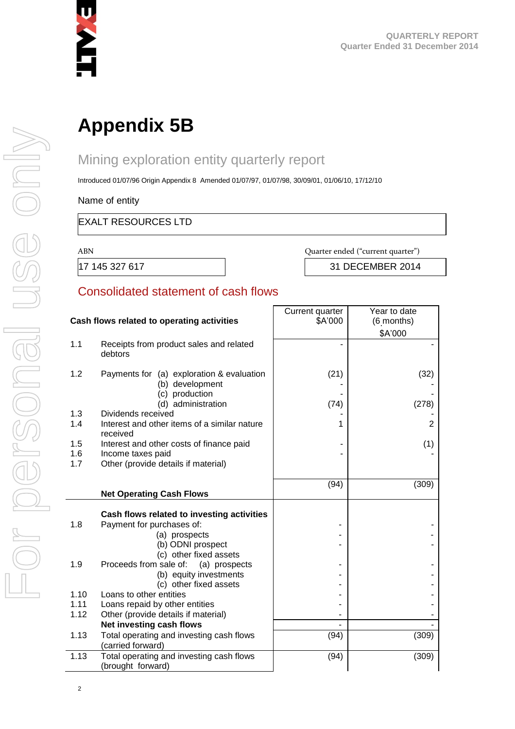

# **Appendix 5B**

# Mining exploration entity quarterly report

Introduced 01/07/96 Origin Appendix 8 Amended 01/07/97, 01/07/98, 30/09/01, 01/06/10, 17/12/10

Name of entity

#### EXALT RESOURCES LTD

ABN Quarter ended ("current quarter")

17 145 327 617 31 DECEMBER 2014

#### Consolidated statement of cash flows

| Cash flows related to operating activities |                                                                                | Current quarter<br>\$A'000 | Year to date<br>(6 months) |
|--------------------------------------------|--------------------------------------------------------------------------------|----------------------------|----------------------------|
|                                            |                                                                                |                            | \$A'000                    |
| 1.1                                        | Receipts from product sales and related<br>debtors                             |                            |                            |
| 1.2                                        | Payments for (a) exploration & evaluation<br>(b) development<br>(c) production | (21)                       | (32)                       |
|                                            | (d) administration                                                             | (74)                       | (278)                      |
| 1.3                                        | Dividends received                                                             |                            |                            |
| 1.4                                        | Interest and other items of a similar nature<br>received                       | 1                          | 2                          |
| 1.5                                        | Interest and other costs of finance paid                                       |                            | (1)                        |
| 1.6                                        | Income taxes paid                                                              |                            |                            |
| 1.7                                        | Other (provide details if material)                                            |                            |                            |
|                                            |                                                                                | (94)                       | (309)                      |
|                                            | <b>Net Operating Cash Flows</b>                                                |                            |                            |
|                                            |                                                                                |                            |                            |
| 1.8                                        | Cash flows related to investing activities                                     |                            |                            |
|                                            | Payment for purchases of:<br>(a) prospects                                     |                            |                            |
|                                            | (b) ODNI prospect                                                              |                            |                            |
|                                            | (c) other fixed assets                                                         |                            |                            |
| 1.9                                        | Proceeds from sale of:<br>(a) prospects                                        |                            |                            |
|                                            | (b) equity investments                                                         |                            |                            |
| 1.10                                       | (c) other fixed assets<br>Loans to other entities                              |                            |                            |
| 1.11                                       | Loans repaid by other entities                                                 |                            |                            |
| 1.12                                       | Other (provide details if material)                                            |                            |                            |
|                                            | Net investing cash flows                                                       |                            |                            |
| 1.13                                       | Total operating and investing cash flows<br>(carried forward)                  | (94)                       | (309)                      |
| 1.13                                       | Total operating and investing cash flows<br>(brought forward)                  | (94)                       | (309)                      |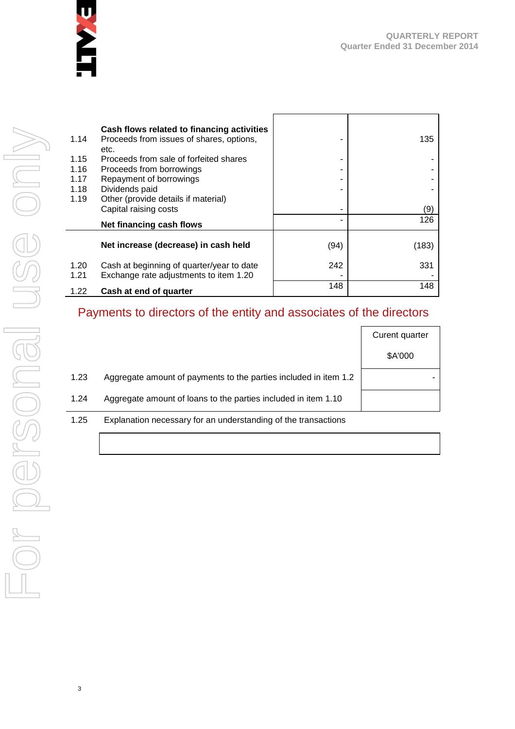

| 1.14         | Cash flows related to financing activities<br>Proceeds from issues of shares, options,<br>etc. |      | 135   |
|--------------|------------------------------------------------------------------------------------------------|------|-------|
| 1.15         | Proceeds from sale of forfeited shares                                                         |      |       |
| 1.16         | Proceeds from borrowings                                                                       |      |       |
| 1.17         | Repayment of borrowings                                                                        |      |       |
| 1.18         | Dividends paid                                                                                 |      |       |
| 1.19         | Other (provide details if material)                                                            |      |       |
|              | Capital raising costs                                                                          |      | (9)   |
|              | Net financing cash flows                                                                       |      | 126   |
|              | Net increase (decrease) in cash held                                                           | (94) | (183) |
| 1.20<br>1.21 | Cash at beginning of quarter/year to date<br>Exchange rate adjustments to item 1.20            | 242  | 331   |
| 1.22         | Cash at end of quarter                                                                         | 148  | 148   |

# Payments to directors of the entity and associates of the directors

|      |                                                                  | Curent quarter |
|------|------------------------------------------------------------------|----------------|
|      |                                                                  | \$A'000        |
| 1.23 | Aggregate amount of payments to the parties included in item 1.2 |                |
| 1.24 | Aggregate amount of loans to the parties included in item 1.10   |                |
| 1.25 | Explanation necessary for an understanding of the transactions   |                |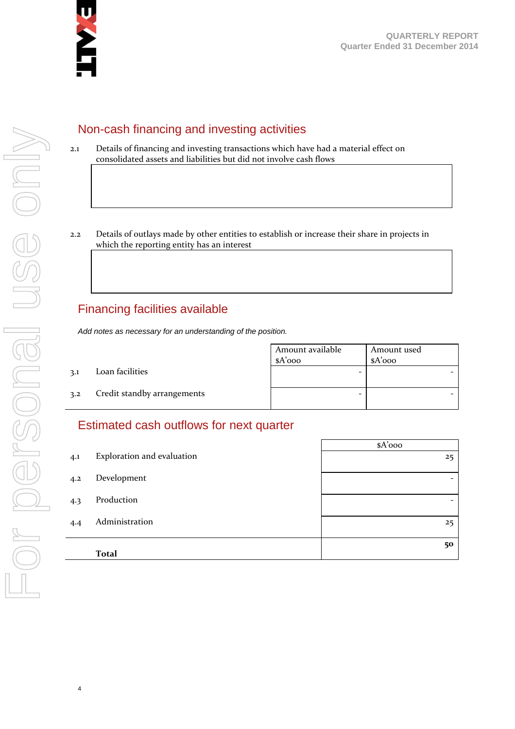

# Non-cash financing and investing activities

- 2.1 Details of financing and investing transactions which have had a material effect on consolidated assets and liabilities but did not involve cash flows
- 2.2 Details of outlays made by other entities to establish or increase their share in projects in which the reporting entity has an interest

# Financing facilities available

*Add notes as necessary for an understanding of the position.*

Amount available \$A'000 Amount used \$A'000 3.1 Loan facilities - - 3.2 Credit standby arrangements and  $\overline{a}$  -  $\overline{a}$  -  $\overline{a}$  -  $\overline{a}$  -  $\overline{a}$ 

# Estimated cash outflows for next quarter

|     |                            | $A'$ 000                 |
|-----|----------------------------|--------------------------|
| 4.1 | Exploration and evaluation | 25                       |
| 4.2 | Development                |                          |
| 4.3 | Production                 | $\overline{\phantom{0}}$ |
| 4.4 | Administration             | 25                       |
|     | <b>Total</b>               | 50                       |
|     |                            |                          |

4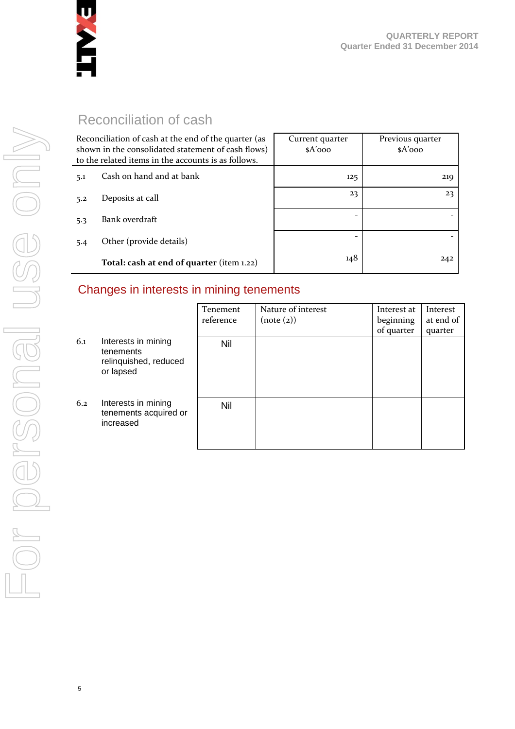

# Reconciliation of cash

| Reconciliation of cash at the end of the quarter (as<br>shown in the consolidated statement of cash flows)<br>to the related items in the accounts is as follows. |                                           | Current quarter<br>$A'$ 000 | Previous quarter<br>$A'$ 000 |
|-------------------------------------------------------------------------------------------------------------------------------------------------------------------|-------------------------------------------|-----------------------------|------------------------------|
| 5.1                                                                                                                                                               | Cash on hand and at bank                  | 125                         | 219                          |
| 5.2                                                                                                                                                               | Deposits at call                          | 23                          | 23                           |
| 5.3                                                                                                                                                               | Bank overdraft                            |                             |                              |
| 5.4                                                                                                                                                               | Other (provide details)                   | $\qquad \qquad$             |                              |
|                                                                                                                                                                   | Total: cash at end of quarter (item 1.22) | 148                         | 242                          |

# Changes in interests in mining tenements

|     |                                                                        | Tenement<br>reference | Nature of interest<br>(note (2)) | Interest at<br>beginning<br>of quarter | Interest<br>at end of<br>quarter |
|-----|------------------------------------------------------------------------|-----------------------|----------------------------------|----------------------------------------|----------------------------------|
| 6.1 | Interests in mining<br>tenements<br>relinquished, reduced<br>or lapsed | Nil                   |                                  |                                        |                                  |
| 6.2 | Interests in mining<br>tenements acquired or<br>increased              | Nil                   |                                  |                                        |                                  |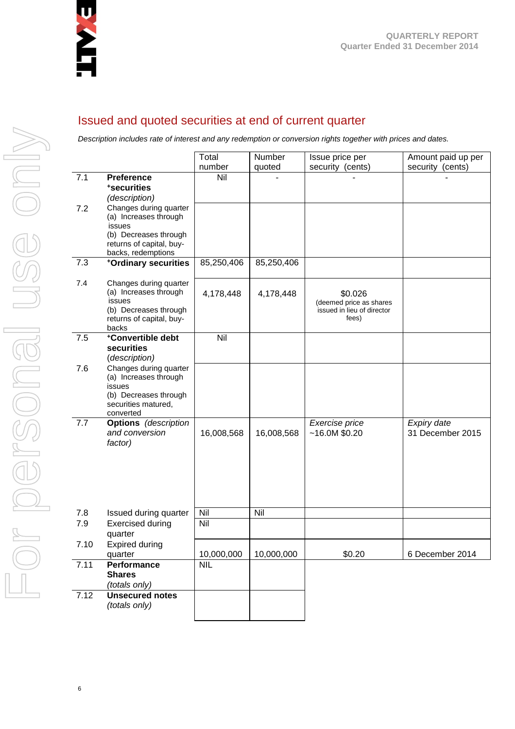

# Issued and quoted securities at end of current quarter

*Description includes rate of interest and any redemption or conversion rights together with prices and dates.*

|      |                                                 | Total         | Number     | Issue price per                    | Amount paid up per              |
|------|-------------------------------------------------|---------------|------------|------------------------------------|---------------------------------|
| 7.1  | <b>Preference</b>                               | number<br>Nil | quoted     | security (cents)                   | security (cents)                |
|      | *securities                                     |               |            |                                    |                                 |
|      | (description)                                   |               |            |                                    |                                 |
| 7.2  | Changes during quarter                          |               |            |                                    |                                 |
|      | (a) Increases through                           |               |            |                                    |                                 |
|      | issues<br>(b) Decreases through                 |               |            |                                    |                                 |
|      | returns of capital, buy-                        |               |            |                                    |                                 |
|      | backs, redemptions                              |               |            |                                    |                                 |
| 7.3  | +Ordinary securities                            | 85,250,406    | 85,250,406 |                                    |                                 |
|      |                                                 |               |            |                                    |                                 |
| 7.4  | Changes during quarter<br>(a) Increases through |               |            |                                    |                                 |
|      | issues                                          | 4,178,448     | 4,178,448  | \$0.026<br>(deemed price as shares |                                 |
|      | (b) Decreases through                           |               |            | issued in lieu of director         |                                 |
|      | returns of capital, buy-                        |               |            | fees)                              |                                 |
| 7.5  | backs<br>*Convertible debt                      | Nil           |            |                                    |                                 |
|      | securities                                      |               |            |                                    |                                 |
|      | (description)                                   |               |            |                                    |                                 |
| 7.6  | Changes during quarter                          |               |            |                                    |                                 |
|      | (a) Increases through<br>issues                 |               |            |                                    |                                 |
|      | (b) Decreases through                           |               |            |                                    |                                 |
|      | securities matured,                             |               |            |                                    |                                 |
|      | converted                                       |               |            |                                    |                                 |
| 7.7  | <b>Options</b> (description<br>and conversion   | 16,008,568    | 16,008,568 | Exercise price<br>~16.0M~\$0.20    | Expiry date<br>31 December 2015 |
|      | factor)                                         |               |            |                                    |                                 |
|      |                                                 |               |            |                                    |                                 |
|      |                                                 |               |            |                                    |                                 |
|      |                                                 |               |            |                                    |                                 |
|      |                                                 |               |            |                                    |                                 |
|      |                                                 |               |            |                                    |                                 |
| 7.8  | Issued during quarter                           | Nil           | Nil        |                                    |                                 |
| 7.9  | <b>Exercised during</b>                         | Nil           |            |                                    |                                 |
|      | quarter                                         |               |            |                                    |                                 |
| 7.10 | <b>Expired during</b>                           |               |            |                                    |                                 |
|      | quarter                                         | 10,000,000    | 10,000,000 | \$0.20                             | 6 December 2014                 |
| 7.11 | Performance<br><b>Shares</b>                    | <b>NIL</b>    |            |                                    |                                 |
|      | (totals only)                                   |               |            |                                    |                                 |
| 7.12 | <b>Unsecured notes</b>                          |               |            |                                    |                                 |
|      | (totals only)                                   |               |            |                                    |                                 |
|      |                                                 |               |            |                                    |                                 |